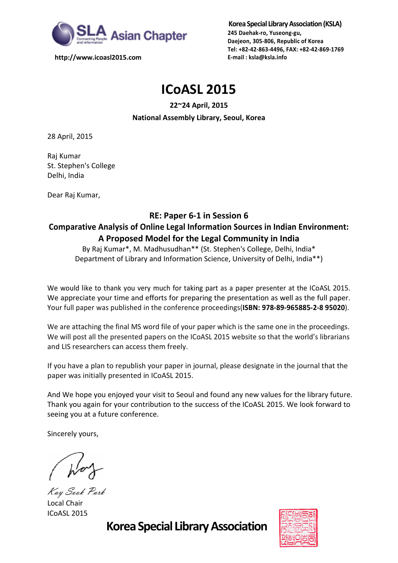

**http://www.icoasl2015.com**

**Korea Special Library Association (KSLA) 245 Daehak-ro, Yuseong-gu, Daejeon, 305-806, Republic of Korea Tel: +82-42-863-4496, FAX: +82-42-869-1769 E-mail : ksla@ksla.info**

# **ICoASL 2015**

### **22~24 April, 2015 National Assembly Library, Seoul, Korea**

28 April, 2015

Raj Kumar St. Stephen's College Delhi, India

Dear Raj Kumar,

### **RE: Paper 6-1 in Session 6**

## **Comparative Analysis of Online Legal Information Sources in Indian Environment: A Proposed Model for the Legal Community in India**

By Raj Kumar\*, M. Madhusudhan\*\* (St. Stephen's College, Delhi, India\* Department of Library and Information Science, University of Delhi, India\*\*)

We would like to thank you very much for taking part as a paper presenter at the ICoASL 2015. We appreciate your time and efforts for preparing the presentation as well as the full paper. Your full paper was published in the conference proceedings(**ISBN: 978-89-965885-2-8 95020**).

We are attaching the final MS word file of your paper which is the same one in the proceedings. We will post all the presented papers on the ICoASL 2015 website so that the world's librarians and LIS researchers can access them freely.

If you have a plan to republish your paper in journal, please designate in the journal that the paper was initially presented in ICoASL 2015.

And We hope you enjoyed your visit to Seoul and found any new values for the library future. Thank you again for your contribution to the success of the ICoASL 2015. We look forward to seeing you at a future conference.

Sincerely yours,

Kay Sook Park Local Chair ICoASL 2015

**Korea Special Library Association**